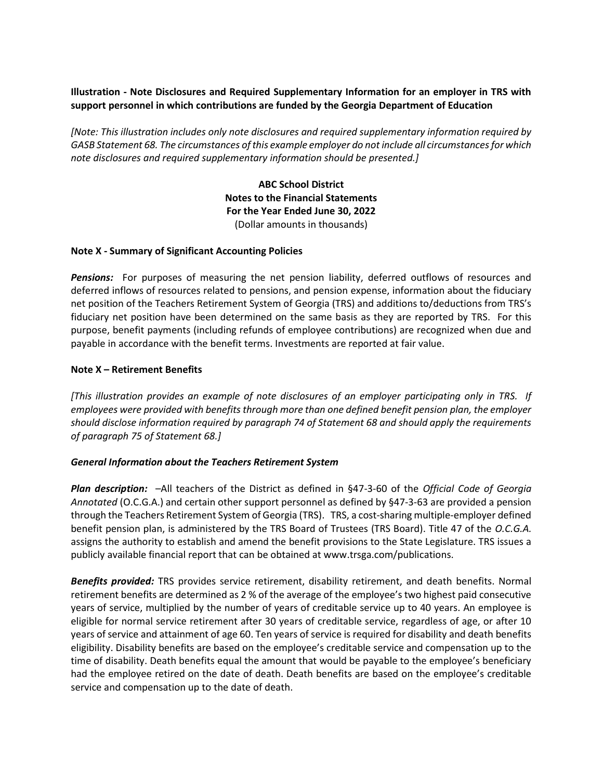# Illustration - Note Disclosures and Required Supplementary Information for an employer in TRS with support personnel in which contributions are funded by the Georgia Department of Education

[Note: This illustration includes only note disclosures and required supplementary information required by GASB Statement 68. The circumstances of this example employer do not include all circumstances for which note disclosures and required supplementary information should be presented.]

> ABC School District Notes to the Financial Statements For the Year Ended June 30, 2022 (Dollar amounts in thousands)

### Note X - Summary of Significant Accounting Policies

**Pensions:** For purposes of measuring the net pension liability, deferred outflows of resources and deferred inflows of resources related to pensions, and pension expense, information about the fiduciary net position of the Teachers Retirement System of Georgia (TRS) and additions to/deductions from TRS's fiduciary net position have been determined on the same basis as they are reported by TRS. For this purpose, benefit payments (including refunds of employee contributions) are recognized when due and payable in accordance with the benefit terms. Investments are reported at fair value.

### Note X – Retirement Benefits

[This illustration provides an example of note disclosures of an employer participating only in TRS. If employees were provided with benefits through more than one defined benefit pension plan, the employer should disclose information required by paragraph 74 of Statement 68 and should apply the requirements of paragraph 75 of Statement 68.]

# General Information about the Teachers Retirement System

Plan description: -All teachers of the District as defined in §47-3-60 of the Official Code of Georgia Annotated (O.C.G.A.) and certain other support personnel as defined by §47-3-63 are provided a pension through the Teachers Retirement System of Georgia (TRS). TRS, a cost-sharing multiple-employer defined benefit pension plan, is administered by the TRS Board of Trustees (TRS Board). Title 47 of the O.C.G.A. assigns the authority to establish and amend the benefit provisions to the State Legislature. TRS issues a publicly available financial report that can be obtained at www.trsga.com/publications.

Benefits provided: TRS provides service retirement, disability retirement, and death benefits. Normal retirement benefits are determined as 2 % of the average of the employee's two highest paid consecutive years of service, multiplied by the number of years of creditable service up to 40 years. An employee is eligible for normal service retirement after 30 years of creditable service, regardless of age, or after 10 years of service and attainment of age 60. Ten years of service is required for disability and death benefits eligibility. Disability benefits are based on the employee's creditable service and compensation up to the time of disability. Death benefits equal the amount that would be payable to the employee's beneficiary had the employee retired on the date of death. Death benefits are based on the employee's creditable service and compensation up to the date of death.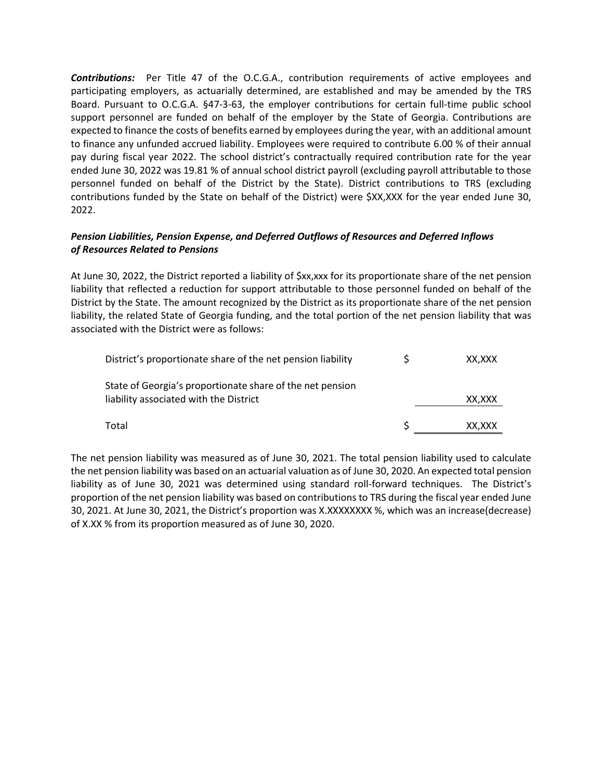Contributions: Per Title 47 of the O.C.G.A., contribution requirements of active employees and participating employers, as actuarially determined, are established and may be amended by the TRS Board. Pursuant to O.C.G.A. §47-3-63, the employer contributions for certain full-time public school support personnel are funded on behalf of the employer by the State of Georgia. Contributions are expected to finance the costs of benefits earned by employees during the year, with an additional amount to finance any unfunded accrued liability. Employees were required to contribute 6.00 % of their annual pay during fiscal year 2022. The school district's contractually required contribution rate for the year ended June 30, 2022 was 19.81 % of annual school district payroll (excluding payroll attributable to those personnel funded on behalf of the District by the State). District contributions to TRS (excluding contributions funded by the State on behalf of the District) were \$XX,XXX for the year ended June 30, 2022.

# Pension Liabilities, Pension Expense, and Deferred Outflows of Resources and Deferred Inflows of Resources Related to Pensions

At June 30, 2022, the District reported a liability of \$xx,xxx for its proportionate share of the net pension liability that reflected a reduction for support attributable to those personnel funded on behalf of the District by the State. The amount recognized by the District as its proportionate share of the net pension liability, the related State of Georgia funding, and the total portion of the net pension liability that was associated with the District were as follows:

| District's proportionate share of the net pension liability | XX, XXX |
|-------------------------------------------------------------|---------|
| State of Georgia's proportionate share of the net pension   |         |
| liability associated with the District                      | XX,XXX  |
| Total                                                       | XX,XXX  |

The net pension liability was measured as of June 30, 2021. The total pension liability used to calculate the net pension liability was based on an actuarial valuation as of June 30, 2020. An expected total pension liability as of June 30, 2021 was determined using standard roll-forward techniques. The District's proportion of the net pension liability was based on contributions to TRS during the fiscal year ended June 30, 2021. At June 30, 2021, the District's proportion was X.XXXXXXXX %, which was an increase(decrease) of X.XX % from its proportion measured as of June 30, 2020.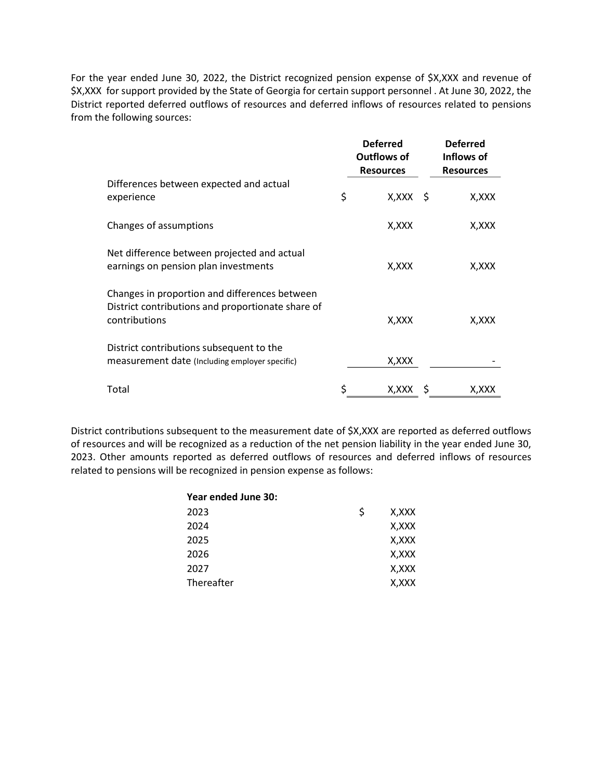For the year ended June 30, 2022, the District recognized pension expense of \$X,XXX and revenue of \$X,XXX for support provided by the State of Georgia for certain support personnel . At June 30, 2022, the District reported deferred outflows of resources and deferred inflows of resources related to pensions from the following sources:

|                                                                                                                     | <b>Deferred</b><br>Outflows of<br><b>Resources</b> | <b>Deferred</b><br>Inflows of<br><b>Resources</b> |
|---------------------------------------------------------------------------------------------------------------------|----------------------------------------------------|---------------------------------------------------|
| Differences between expected and actual<br>experience                                                               | \$<br>$X, XXX \S$                                  | X,XXX                                             |
| Changes of assumptions                                                                                              | X,XXX                                              | X,XXX                                             |
| Net difference between projected and actual<br>earnings on pension plan investments                                 | X,XXX                                              | X,XXX                                             |
| Changes in proportion and differences between<br>District contributions and proportionate share of<br>contributions | X,XXX                                              | X,XXX                                             |
| District contributions subsequent to the<br>measurement date (Including employer specific)                          | X,XXX                                              |                                                   |
| Total                                                                                                               | \$<br>X,XXX                                        | X, XXX                                            |

District contributions subsequent to the measurement date of \$X,XXX are reported as deferred outflows of resources and will be recognized as a reduction of the net pension liability in the year ended June 30, 2023. Other amounts reported as deferred outflows of resources and deferred inflows of resources related to pensions will be recognized in pension expense as follows:

| Year ended June 30: |             |
|---------------------|-------------|
| 2023                | \$<br>X,XXX |
| 2024                | X,XXX       |
| 2025                | X,XXX       |
| 2026                | X,XXX       |
| 2027                | X,XXX       |
| Thereafter          | X,XXX       |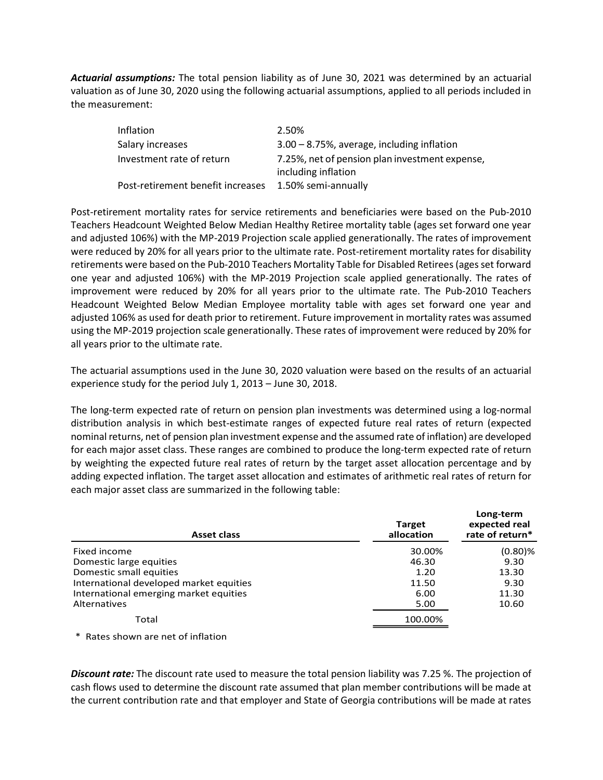Actuarial assumptions: The total pension liability as of June 30, 2021 was determined by an actuarial valuation as of June 30, 2020 using the following actuarial assumptions, applied to all periods included in the measurement:

| <b>Inflation</b>                  | 2.50%                                          |
|-----------------------------------|------------------------------------------------|
| Salary increases                  | $3.00 - 8.75$ %, average, including inflation  |
| Investment rate of return         | 7.25%, net of pension plan investment expense, |
|                                   | including inflation                            |
| Post-retirement benefit increases | 1.50% semi-annually                            |

Post-retirement mortality rates for service retirements and beneficiaries were based on the Pub-2010 Teachers Headcount Weighted Below Median Healthy Retiree mortality table (ages set forward one year and adjusted 106%) with the MP-2019 Projection scale applied generationally. The rates of improvement were reduced by 20% for all years prior to the ultimate rate. Post-retirement mortality rates for disability retirements were based on the Pub-2010 Teachers Mortality Table for Disabled Retirees (ages set forward one year and adjusted 106%) with the MP-2019 Projection scale applied generationally. The rates of improvement were reduced by 20% for all years prior to the ultimate rate. The Pub-2010 Teachers Headcount Weighted Below Median Employee mortality table with ages set forward one year and adjusted 106% as used for death prior to retirement. Future improvement in mortality rates was assumed using the MP-2019 projection scale generationally. These rates of improvement were reduced by 20% for all years prior to the ultimate rate.

| Headcount Weighted Below Median Employee mortality table with ages set forward one year and<br>adjusted 106% as used for death prior to retirement. Future improvement in mortality rates was assumed                                                                                                                                                                                                                                                                                                                                                                                                                                                                                                                        |                             |                                               |
|------------------------------------------------------------------------------------------------------------------------------------------------------------------------------------------------------------------------------------------------------------------------------------------------------------------------------------------------------------------------------------------------------------------------------------------------------------------------------------------------------------------------------------------------------------------------------------------------------------------------------------------------------------------------------------------------------------------------------|-----------------------------|-----------------------------------------------|
| using the MP-2019 projection scale generationally. These rates of improvement were reduced by 20% for                                                                                                                                                                                                                                                                                                                                                                                                                                                                                                                                                                                                                        |                             |                                               |
| all years prior to the ultimate rate.                                                                                                                                                                                                                                                                                                                                                                                                                                                                                                                                                                                                                                                                                        |                             |                                               |
| The actuarial assumptions used in the June 30, 2020 valuation were based on the results of an actuarial<br>experience study for the period July 1, 2013 - June 30, 2018.                                                                                                                                                                                                                                                                                                                                                                                                                                                                                                                                                     |                             |                                               |
| The long-term expected rate of return on pension plan investments was determined using a log-normal<br>distribution analysis in which best-estimate ranges of expected future real rates of return (expected<br>nominal returns, net of pension plan investment expense and the assumed rate of inflation) are developed<br>for each major asset class. These ranges are combined to produce the long-term expected rate of return<br>by weighting the expected future real rates of return by the target asset allocation percentage and by<br>adding expected inflation. The target asset allocation and estimates of arithmetic real rates of return for<br>each major asset class are summarized in the following table: |                             |                                               |
|                                                                                                                                                                                                                                                                                                                                                                                                                                                                                                                                                                                                                                                                                                                              |                             |                                               |
| <b>Asset class</b>                                                                                                                                                                                                                                                                                                                                                                                                                                                                                                                                                                                                                                                                                                           | <b>Target</b><br>allocation | Long-term<br>expected real<br>rate of return* |
| Fixed income                                                                                                                                                                                                                                                                                                                                                                                                                                                                                                                                                                                                                                                                                                                 | 30.00%                      | $(0.80)\%$                                    |
| Domestic large equities                                                                                                                                                                                                                                                                                                                                                                                                                                                                                                                                                                                                                                                                                                      | 46.30                       | 9.30                                          |
| Domestic small equities                                                                                                                                                                                                                                                                                                                                                                                                                                                                                                                                                                                                                                                                                                      | 1.20                        | 13.30                                         |
| International developed market equities                                                                                                                                                                                                                                                                                                                                                                                                                                                                                                                                                                                                                                                                                      | 11.50                       | 9.30                                          |
| International emerging market equities                                                                                                                                                                                                                                                                                                                                                                                                                                                                                                                                                                                                                                                                                       | 6.00                        | 11.30                                         |
| Alternatives<br>Total                                                                                                                                                                                                                                                                                                                                                                                                                                                                                                                                                                                                                                                                                                        | 5.00<br>100.00%             | 10.60                                         |
| * Rates shown are net of inflation                                                                                                                                                                                                                                                                                                                                                                                                                                                                                                                                                                                                                                                                                           |                             |                                               |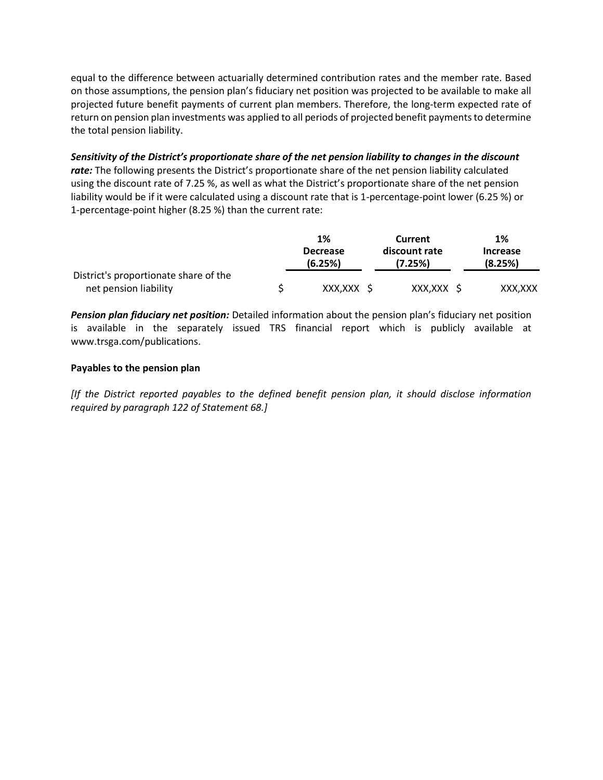equal to the difference between actuarially determined contribution rates and the member rate. Based on those assumptions, the pension plan's fiduciary net position was projected to be available to make all projected future benefit payments of current plan members. Therefore, the long-term expected rate of return on pension plan investments was applied to all periods of projected benefit payments to determine the total pension liability.

Sensitivity of the District's proportionate share of the net pension liability to changes in the discount rate: The following presents the District's proportionate share of the net pension liability calculated using the discount rate of 7.25 %, as well as what the District's proportionate share of the net pension liability would be if it were calculated using a discount rate that is 1-percentage-point lower (6.25 %) or 1-percentage-point higher (8.25 %) than the current rate:

|                                       | 1%                         | Current                  | 1%                         |
|---------------------------------------|----------------------------|--------------------------|----------------------------|
|                                       | <b>Decrease</b><br>(6.25%) | discount rate<br>(7.25%) | <b>Increase</b><br>(8.25%) |
| District's proportionate share of the |                            |                          |                            |
| net pension liability                 | XXX,XXX                    | XXX,XXX                  | XXX,XXX                    |

Pension plan fiduciary net position: Detailed information about the pension plan's fiduciary net position is available in the separately issued TRS financial report which is publicly available at www.trsga.com/publications.

# Payables to the pension plan

[If the District reported payables to the defined benefit pension plan, it should disclose information required by paragraph 122 of Statement 68.]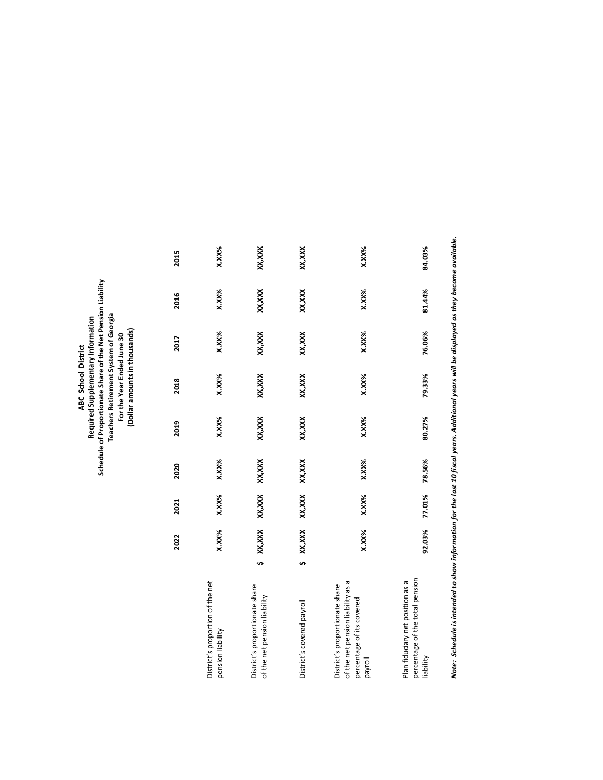|                                                                                                                                           |    |        |        |        |        | Schedule of Proportionate Share of the Net Pension Liability<br>Teachers Retirement System of Georgia<br>Required Supplementary Information<br>(Dollar amounts in thousands)<br>For the Year Ended June 30<br>ABC School District |         |          |        |
|-------------------------------------------------------------------------------------------------------------------------------------------|----|--------|--------|--------|--------|-----------------------------------------------------------------------------------------------------------------------------------------------------------------------------------------------------------------------------------|---------|----------|--------|
|                                                                                                                                           |    | 2022   | 2021   | 2020   | 2019   | 2018                                                                                                                                                                                                                              | 2017    | 2016     | 2015   |
| District's proportion of the net<br>pension liability                                                                                     |    | X.XX%  | X.XX%  | X.XX%  | X.XX%  | X.XX%                                                                                                                                                                                                                             | X.XX%   | X.XX%    | X.XX%  |
| District's proportionate share<br>of the net pension liability                                                                            | s, | XX,XXX | XX,XXX | XX,XXX | XX,XXX | XX,XXX                                                                                                                                                                                                                            | XX, XXX | XX, XXX  | XX,XXX |
| District's covered payroll                                                                                                                | s, | XX,XXX | XX,XXX | XX,XXX | XX,XXX | XX,XXX                                                                                                                                                                                                                            | XX, XXX | XX, XXX  | XX,XXX |
| of the net pension liability as a<br>District's proportionate share<br>percentage of its covered<br>payroll                               |    | X.XX%  | X.XX%  | X.XX%  | X.XX%  | X.XX%                                                                                                                                                                                                                             | X.XX%   | $X.XX\%$ | X.XX%  |
| percentage of the total pension<br>Plan fiduciary net position as a<br>liability                                                          |    | 92.03% | 77.01% | 78.56% | 80.27% | 79.33%                                                                                                                                                                                                                            | 76.06%  | 81.44%   | 84.03% |
| Note: Schedule is intended to show information for the last 10 fiscal years. Additional years will be displayed as they become available. |    |        |        |        |        |                                                                                                                                                                                                                                   |         |          |        |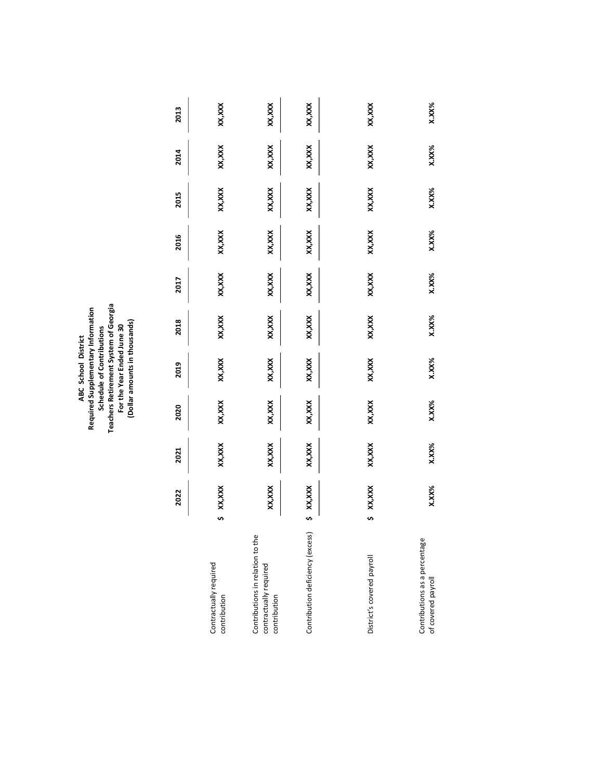|                                                                            |              |             |          | Required Supplementary Information | (Dollar amounts in thousands)<br>For the Year Ended June 30<br>Schedule of Contributions<br>ABC School District | Teachers Retirement System of Georgia |          |          |         |        |        |
|----------------------------------------------------------------------------|--------------|-------------|----------|------------------------------------|-----------------------------------------------------------------------------------------------------------------|---------------------------------------|----------|----------|---------|--------|--------|
|                                                                            |              | 2022        | 2021     | 2020                               | 2019                                                                                                            | 2018                                  | 2017     | 2016     | 2015    | 2014   | 2013   |
| Contractually required<br>contribution                                     | $\mathbf{v}$ | XX,XXX      | XX,XXX   | XX, XXX                            | XX,XXX                                                                                                          | XX,XXX                                | XX,XXX   | XX,XXX   | XX, XXX | XX,XXX | XX,XXX |
| Contributions in relation to the<br>contractually required<br>contribution |              | XX,XXX      | XX,XXX   | XX, XXX                            | XX,XXX                                                                                                          | XX,XXX                                | XX,XXX   | XX,XXX   | XX, XXX | XX,XXX | XX,XXX |
| Contribution deficiency (excess)                                           |              | $$$ XX, XXX | XX,XXX   | XX, XXX                            | XX,XXX                                                                                                          | XX,XXX                                | XX,XXX   | XX,XXX   | XX, XXX | XX,XXX | XX,XXX |
| District's covered payroll                                                 | $\mathbf{v}$ | XX,XXX      | XX,XXX   | XX, XXX                            | XX,XXX                                                                                                          | XX,XXX                                | XX,XXX   | XX,XXX   | XX, XXX | XX,XXX | XX,XXX |
| Contributions as a percentage<br>of covered payroll                        |              | X.XX%       | $X.XX\%$ | X.XX%                              | X.XX%                                                                                                           | X.XX%                                 | $X.XX\%$ | $X.XX\%$ | X.XX%   | X.XX%  | X.XX%  |
|                                                                            |              |             |          |                                    |                                                                                                                 |                                       |          |          |         |        |        |